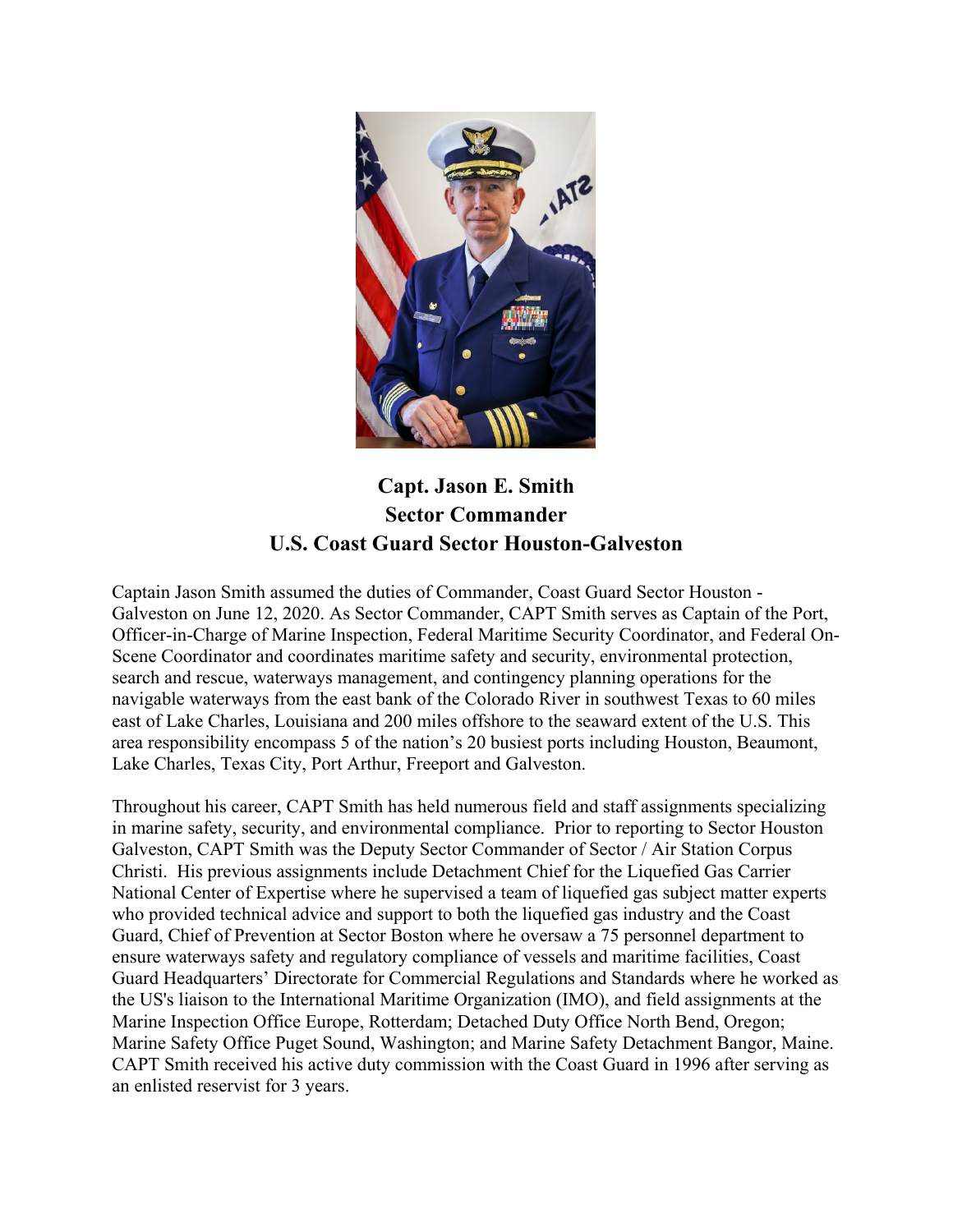

**Capt. Jason E. Smith Sector Commander U.S. Coast Guard Sector Houston-Galveston**

Captain Jason Smith assumed the duties of Commander, Coast Guard Sector Houston - Galveston on June 12, 2020. As Sector Commander, CAPT Smith serves as Captain of the Port, Officer-in-Charge of Marine Inspection, Federal Maritime Security Coordinator, and Federal On-Scene Coordinator and coordinates maritime safety and security, environmental protection, search and rescue, waterways management, and contingency planning operations for the navigable waterways from the east bank of the Colorado River in southwest Texas to 60 miles east of Lake Charles, Louisiana and 200 miles offshore to the seaward extent of the U.S. This area responsibility encompass 5 of the nation's 20 busiest ports including Houston, Beaumont, Lake Charles, Texas City, Port Arthur, Freeport and Galveston.

Throughout his career, CAPT Smith has held numerous field and staff assignments specializing in marine safety, security, and environmental compliance. Prior to reporting to Sector Houston Galveston, CAPT Smith was the Deputy Sector Commander of Sector / Air Station Corpus Christi. His previous assignments include Detachment Chief for the Liquefied Gas Carrier National Center of Expertise where he supervised a team of liquefied gas subject matter experts who provided technical advice and support to both the liquefied gas industry and the Coast Guard, Chief of Prevention at Sector Boston where he oversaw a 75 personnel department to ensure waterways safety and regulatory compliance of vessels and maritime facilities, Coast Guard Headquarters' Directorate for Commercial Regulations and Standards where he worked as the US's liaison to the International Maritime Organization (IMO), and field assignments at the Marine Inspection Office Europe, Rotterdam; Detached Duty Office North Bend, Oregon; Marine Safety Office Puget Sound, Washington; and Marine Safety Detachment Bangor, Maine. CAPT Smith received his active duty commission with the Coast Guard in 1996 after serving as an enlisted reservist for 3 years.